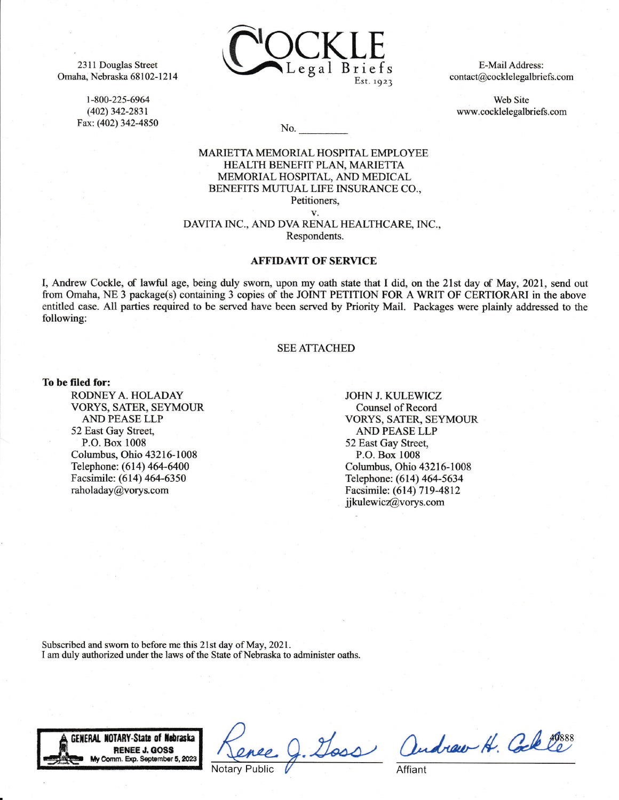2311 Douglas Street Omaha, Nebraska 68102-121 4

> t-800-225-6964 (402) 342-2831 Fax: (402) 342-4850



E-Mail Address: contact@cocklelegalbriefs. com

Web Site www.cocklelegalbriefs.com

No.

## MARIETTA MEMORIAL HOSPITAL EMPLOYEE HEALTH BENEFIT PLAN, MARIETTA MEMORTAL HOSPITAL, AND MEDICAL BENEFITS MUTUAL LIFE INSURANCE CO., Petitioners,

v.

DAVITA INC., AND DVA RENAL HEALTHCARE, INC., Respondents.

## **AFFIDAVIT OF SERVICE**

I, Andrew Cockle, of lawful age, being duly sworn, upon my oath state that 1 did. on the 21st day of May, 2021, send out from Omaha, NE 3 package(s) containing 3 copies of the JOINT PETITION FOR A WRIT OF CERTIORARI in the above entitled case. A1l parties required to be served have been served by Priority Mail. Packages were plainly addressed to the following:

## SEEATTACHED

## To be filed for:

RODNEY A. HOLADAY VORYS, SATER, SEYMOUR AND PEASE LLP 52 East Gay Street, P.O. Box 1008 Columbus, Ohio 43216-1008 Telephone: (614) 464-6400 Facsimile: (614) 464-6350 raholaday@vorys.com

JOHN J. KULEWICZ Counsel of Record VORYS, SATER, SEYMOUR AND PEASE LLP 52 East Gay Street, P.O. Box 1008 Columbus, Ohio 43216-1008 Telephone: (614) 464-5634 Facsimile: (614) 719-4812 jikulewicz@vorys.com

Subscribed and sworn to before me this 21st day of May. 2021. I am duly authorized under the laws of the State of Nebraska to administer oaths.



andraw H. Cole Coss

Affiant